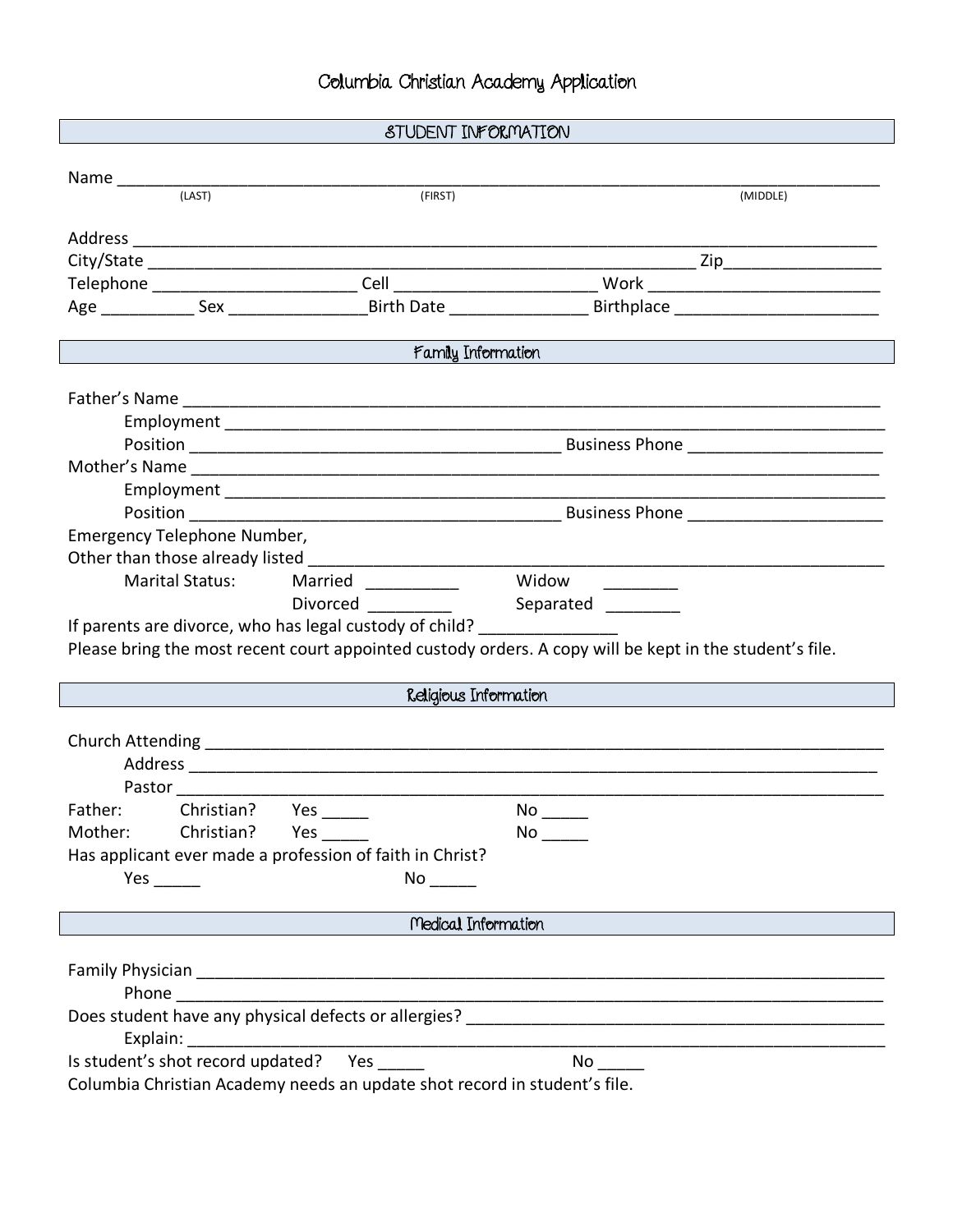## STUDENT INFORMATION

| (LAST)                                                                           | (FIRST)                                                                                                         | (MIDDLE)                                                                                                        |  |  |
|----------------------------------------------------------------------------------|-----------------------------------------------------------------------------------------------------------------|-----------------------------------------------------------------------------------------------------------------|--|--|
|                                                                                  |                                                                                                                 |                                                                                                                 |  |  |
|                                                                                  |                                                                                                                 |                                                                                                                 |  |  |
|                                                                                  |                                                                                                                 |                                                                                                                 |  |  |
|                                                                                  |                                                                                                                 |                                                                                                                 |  |  |
|                                                                                  |                                                                                                                 |                                                                                                                 |  |  |
| Family Information                                                               |                                                                                                                 |                                                                                                                 |  |  |
|                                                                                  |                                                                                                                 |                                                                                                                 |  |  |
|                                                                                  |                                                                                                                 |                                                                                                                 |  |  |
|                                                                                  |                                                                                                                 |                                                                                                                 |  |  |
|                                                                                  |                                                                                                                 |                                                                                                                 |  |  |
|                                                                                  |                                                                                                                 |                                                                                                                 |  |  |
|                                                                                  |                                                                                                                 |                                                                                                                 |  |  |
|                                                                                  |                                                                                                                 |                                                                                                                 |  |  |
| Emergency Telephone Number,                                                      |                                                                                                                 |                                                                                                                 |  |  |
|                                                                                  |                                                                                                                 |                                                                                                                 |  |  |
| <b>Marital Status:</b>                                                           | Married _________                                                                                               | Widow                                                                                                           |  |  |
|                                                                                  | <b>Divorced</b>                                                                                                 | Separated                                                                                                       |  |  |
| If parents are divorce, who has legal custody of child? ________________________ |                                                                                                                 |                                                                                                                 |  |  |
|                                                                                  |                                                                                                                 | Please bring the most recent court appointed custody orders. A copy will be kept in the student's file.         |  |  |
|                                                                                  |                                                                                                                 |                                                                                                                 |  |  |
|                                                                                  | Religious Information                                                                                           |                                                                                                                 |  |  |
|                                                                                  |                                                                                                                 |                                                                                                                 |  |  |
|                                                                                  |                                                                                                                 |                                                                                                                 |  |  |
|                                                                                  |                                                                                                                 |                                                                                                                 |  |  |
|                                                                                  |                                                                                                                 |                                                                                                                 |  |  |
| Pastor                                                                           |                                                                                                                 |                                                                                                                 |  |  |
| Christian? Yes ______<br>Father:                                                 |                                                                                                                 |                                                                                                                 |  |  |
| Mother: Christian? Yes                                                           |                                                                                                                 | No control to the set of the set of the set of the set of the set of the set of the set of the set of the set o |  |  |
| Has applicant ever made a profession of faith in Christ?                         |                                                                                                                 |                                                                                                                 |  |  |
| Yes                                                                              | No the set of the set of the set of the set of the set of the set of the set of the set of the set of the set o |                                                                                                                 |  |  |
|                                                                                  |                                                                                                                 |                                                                                                                 |  |  |
|                                                                                  | Medical Information                                                                                             |                                                                                                                 |  |  |
|                                                                                  |                                                                                                                 |                                                                                                                 |  |  |
|                                                                                  |                                                                                                                 |                                                                                                                 |  |  |
|                                                                                  |                                                                                                                 |                                                                                                                 |  |  |
|                                                                                  |                                                                                                                 |                                                                                                                 |  |  |
| Is student's shot record updated? Yes                                            |                                                                                                                 | $No \ \_$                                                                                                       |  |  |
|                                                                                  |                                                                                                                 |                                                                                                                 |  |  |